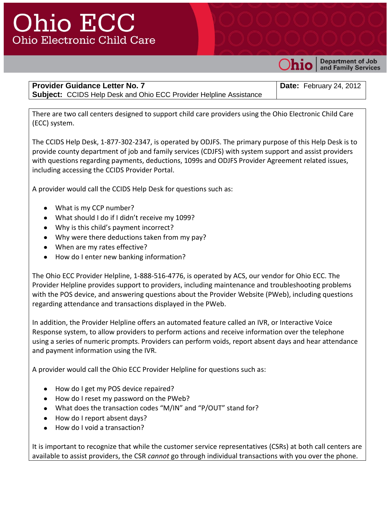## **Ohio ECC Ohio Electronic Child Care**



**Department of Job** and Family Services

**Provider Guidance Letter No. 7 Subject:** CCIDS Help Desk and Ohio ECC Provider Helpline Assistance **Date:** February 24, 2012

There are two call centers designed to support child care providers using the Ohio Electronic Child Care (ECC) system.

The CCIDS Help Desk, 1-877-302-2347, is operated by ODJFS. The primary purpose of this Help Desk is to provide county department of job and family services (CDJFS) with system support and assist providers with questions regarding payments, deductions, 1099s and ODJFS Provider Agreement related issues, including accessing the CCIDS Provider Portal.

A provider would call the CCIDS Help Desk for questions such as:

- What is my CCP number?
- What should I do if I didn't receive my 1099?
- Why is this child's payment incorrect?
- Why were there deductions taken from my pay?
- When are my rates effective?
- How do I enter new banking information?

The Ohio ECC Provider Helpline, 1-888-516-4776, is operated by ACS, our vendor for Ohio ECC. The Provider Helpline provides support to providers, including maintenance and troubleshooting problems with the POS device, and answering questions about the Provider Website (PWeb), including questions regarding attendance and transactions displayed in the PWeb.

In addition, the Provider Helpline offers an automated feature called an IVR, or Interactive Voice Response system, to allow providers to perform actions and receive information over the telephone using a series of numeric prompts. Providers can perform voids, report absent days and hear attendance and payment information using the IVR.

A provider would call the Ohio ECC Provider Helpline for questions such as:

- How do I get my POS device repaired?
- How do I reset my password on the PWeb?
- What does the transaction codes "M/IN" and "P/OUT" stand for?
- How do I report absent days?
- How do I void a transaction?  $\bullet$

It is important to recognize that while the customer service representatives (CSRs) at both call centers are available to assist providers, the CSR *cannot* go through individual transactions with you over the phone.